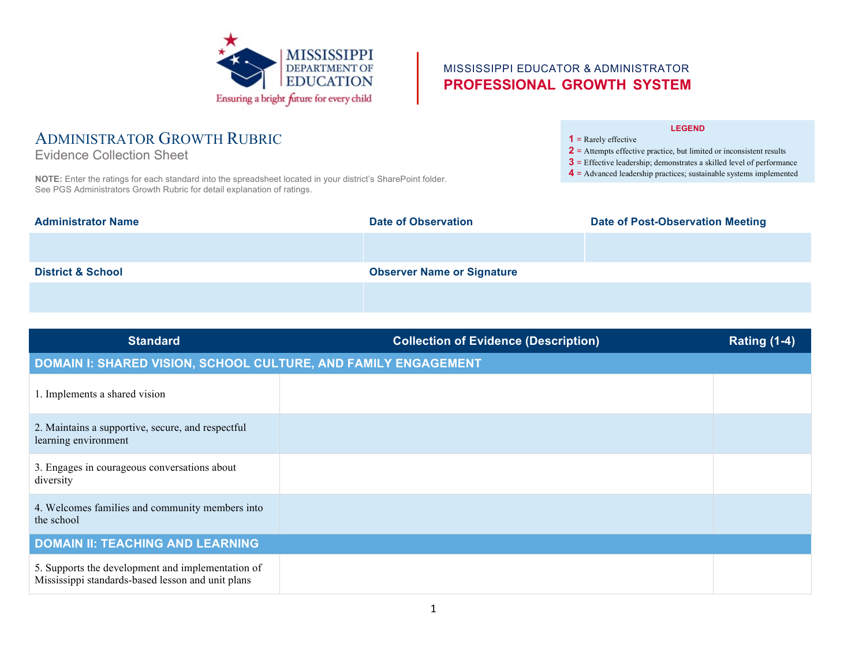

**NOTE:** Enter the ratings for each standard into the spreadsheet located in your district's SharePoint folder.

ADMINISTRATOR GROWTH RUBRIC

See PGS Administrators Growth Rubric for detail explanation of ratings.

Evidence Collection Sheet

## MISSISSIPPI EDUCATOR & ADMINISTRATOR **PROFESSIONAL GROWTH SYSTEM**

#### **LEGEND**

**1** = Rarely effective

**2** = Attempts effective practice, but limited or inconsistent results

- **3** = Effective leadership; demonstrates a skilled level of performance
- **4** = Advanced leadership practices; sustainable systems implemented

| <b>Administrator Name</b>    | <b>Date of Observation</b>        | <b>Date of Post-Observation Meeting</b> |
|------------------------------|-----------------------------------|-----------------------------------------|
|                              |                                   |                                         |
| <b>District &amp; School</b> | <b>Observer Name or Signature</b> |                                         |
|                              |                                   |                                         |

| <b>Standard</b>                                                                                        | <b>Collection of Evidence (Description)</b> | <b>Rating (1-4)</b> |  |  |
|--------------------------------------------------------------------------------------------------------|---------------------------------------------|---------------------|--|--|
| DOMAIN I: SHARED VISION, SCHOOL CULTURE, AND FAMILY ENGAGEMENT                                         |                                             |                     |  |  |
| 1. Implements a shared vision                                                                          |                                             |                     |  |  |
| 2. Maintains a supportive, secure, and respectful<br>learning environment                              |                                             |                     |  |  |
| 3. Engages in courageous conversations about<br>diversity                                              |                                             |                     |  |  |
| 4. Welcomes families and community members into<br>the school                                          |                                             |                     |  |  |
| <b>DOMAIN II: TEACHING AND LEARNING</b>                                                                |                                             |                     |  |  |
| 5. Supports the development and implementation of<br>Mississippi standards-based lesson and unit plans |                                             |                     |  |  |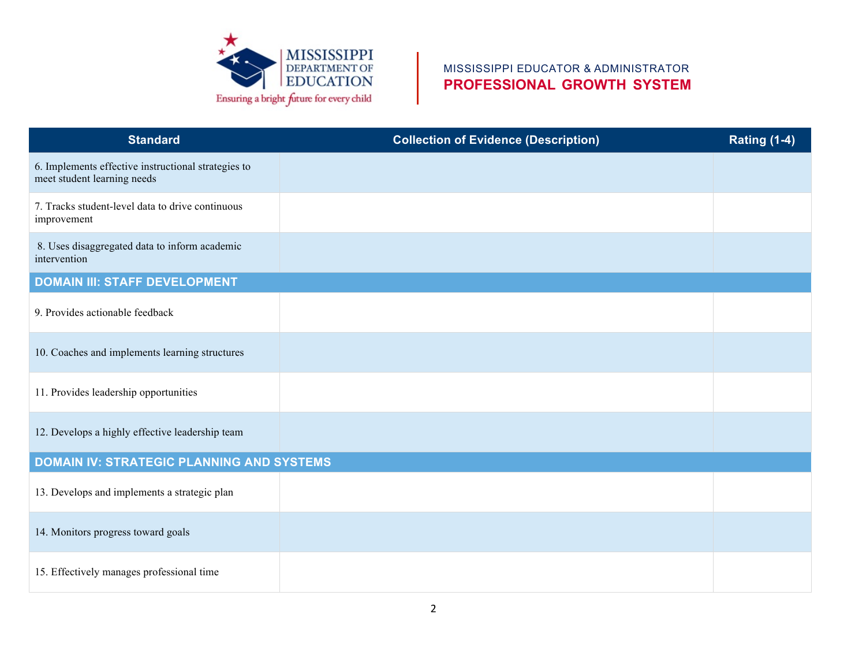

# MISSISSIPPI EDUCATOR & ADMINISTRATOR **PROFESSIONAL GROWTH SYSTEM**

| <b>Standard</b>                                                                    | <b>Collection of Evidence (Description)</b> | <b>Rating (1-4)</b> |  |  |
|------------------------------------------------------------------------------------|---------------------------------------------|---------------------|--|--|
| 6. Implements effective instructional strategies to<br>meet student learning needs |                                             |                     |  |  |
| 7. Tracks student-level data to drive continuous<br>improvement                    |                                             |                     |  |  |
| 8. Uses disaggregated data to inform academic<br>intervention                      |                                             |                     |  |  |
| <b>DOMAIN III: STAFF DEVELOPMENT</b>                                               |                                             |                     |  |  |
| 9. Provides actionable feedback                                                    |                                             |                     |  |  |
| 10. Coaches and implements learning structures                                     |                                             |                     |  |  |
| 11. Provides leadership opportunities                                              |                                             |                     |  |  |
| 12. Develops a highly effective leadership team                                    |                                             |                     |  |  |
| <b>DOMAIN IV: STRATEGIC PLANNING AND SYSTEMS</b>                                   |                                             |                     |  |  |
| 13. Develops and implements a strategic plan                                       |                                             |                     |  |  |
| 14. Monitors progress toward goals                                                 |                                             |                     |  |  |
| 15. Effectively manages professional time                                          |                                             |                     |  |  |